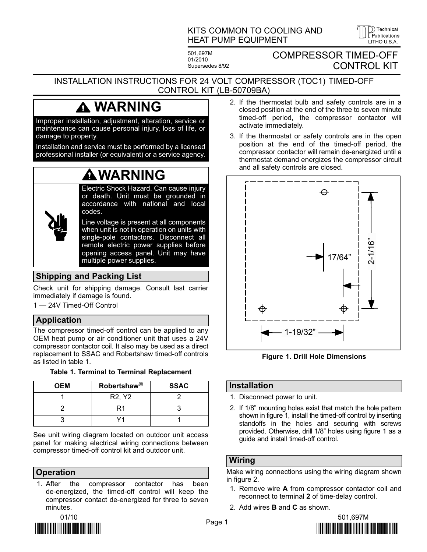## KITS COMMON TO COOLING AND HEAT PUMP EQUIPMENT

501,697M 01/2010 Supersedes 8/92 COMPRESSOR TIMED−OFF CONTROL KIT

 $\overline{I}$  ITHO U.S.A.

)) Technical Publications

#### INSTALLATION INSTRUCTIONS FOR 24 VOLT COMPRESSOR (TOC1) TIMED−OFF CONTROL KIT (LB−50709BA)

# WARNING

Improper installation, adjustment, alteration, service or maintenance can cause personal injury, loss of life, or damage to property.

Installation and service must be performed by a licensed professional installer (or equivalent) or a service agency.

# WARNING

Electric Shock Hazard. Can cause injury or death. Unit must be grounded in accordance with national and local codes.

Line voltage is present at all components when unit is not in operation on units with single-pole contactors. Disconnect all remote electric power supplies before opening access panel. Unit may have multiple power supplies.

# Shipping and Packing List

Check unit for shipping damage. Consult last carrier immediately if damage is found.

1 - 24V Timed-Off Control

## Application

The compressor timed−off control can be applied to any OEM heat pump or air conditioner unit that uses a 24V compressor contactor coil. It also may be used as a direct replacement to SSAC and Robertshaw timed−off controls as listed in table 1.

| <b>OEM</b> | Robertshaw <sup>©</sup>         | <b>SSAC</b> |
|------------|---------------------------------|-------------|
|            | R <sub>2</sub> , Y <sub>2</sub> |             |
|            |                                 |             |
|            |                                 |             |

Table 1. Terminal to Terminal Replacement

See unit wiring diagram located on outdoor unit access panel for making electrical wiring connections between compressor timed−off control kit and outdoor unit.

#### **Operation**

1. After the compressor contactor has been de−energized, the timed−off control will keep the compressor contact de−energized for three to seven minutes.



- 2. If the thermostat bulb and safety controls are in a closed position at the end of the three to seven minute timed−off period, the compressor contactor will activate immediately.
- 3. If the thermostat or safety controls are in the open position at the end of the timed−off period, the compressor contactor will remain de−energized until a thermostat demand energizes the compressor circuit and all safety controls are closed.



Figure 1. Drill Hole Dimensions

### Installation

- 1. Disconnect power to unit.
- 2. If 1/8" mounting holes exist that match the hole pattern shown in figure 1, install the timed−off control by inserting standoffs in the holes and securing with screws provided. Otherwise, drill 1/8" holes using figure 1 as a guide and install timed−off control.

### Wiring

Make wiring connections using the wiring diagram shown in figure 2.

- 1. Remove wire A from compressor contactor coil and reconnect to terminal 2 of time−delay control.
- 2. Add wires B and C as shown.